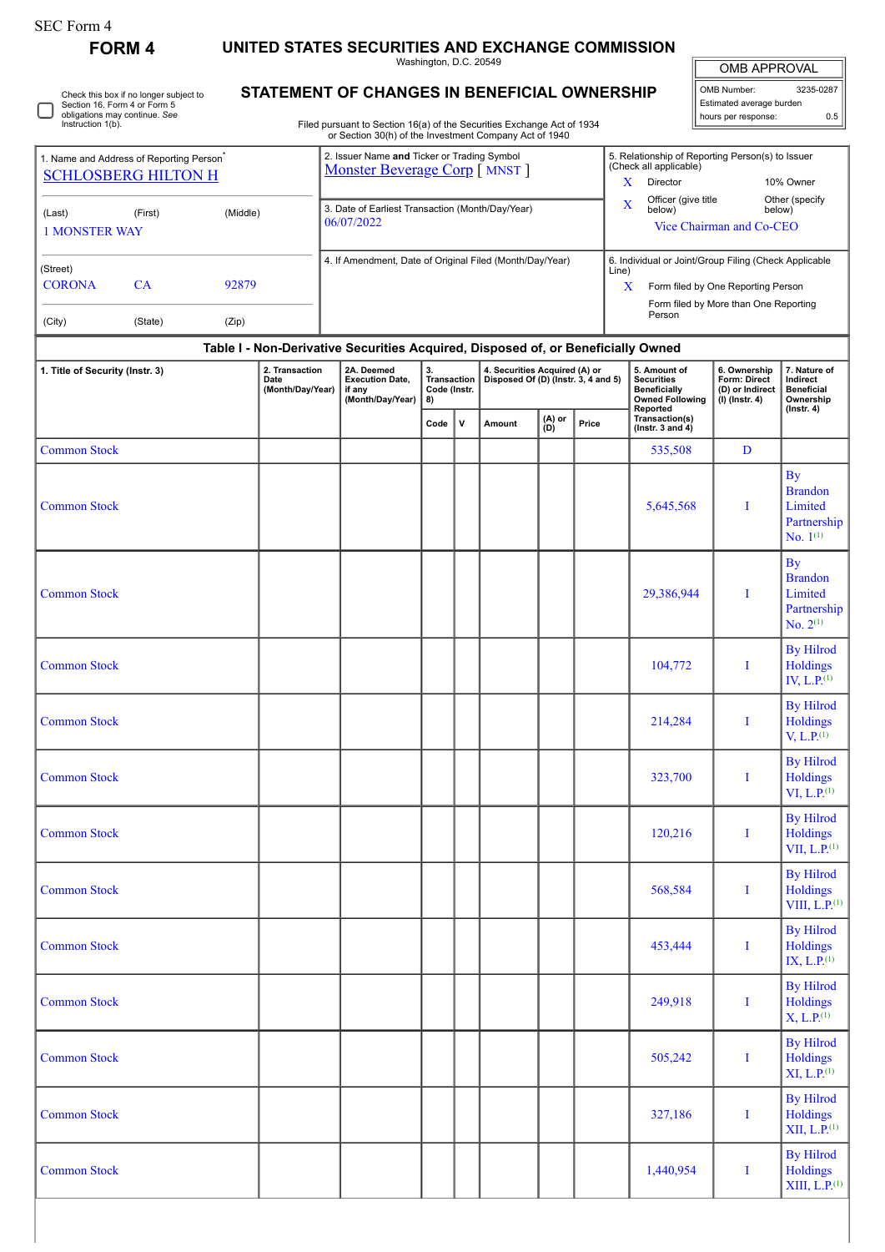## SEC Form 4

 $\Box$ 

# **FORM 4 UNITED STATES SECURITIES AND EXCHANGE COMMISSION**

Washington, D.C. 20549

OMB APPROVAL OMB Number: 3235-0287 Estimated average burden

hours per response: 0.5

 $XIII, L.P.<sup>(1)</sup>$ 

| Check this box if no longer subject to |
|----------------------------------------|
| Section 16. Form 4 or Form 5           |
| obligations may continue. See          |
| Instruction 1(b).                      |

# **STATEMENT OF CHANGES IN BENEFICIAL OWNERSHIP**

Filed pursuant to Section 16(a) of the Securities Exchange Act of 1934 or Section 30(h) of the Investment Company Act of 1940

| 1. Name and Address of Reporting Person <sup>®</sup><br><b>SCHLOSBERG HILTON H</b> |           | 2. Issuer Name and Ticker or Trading Symbol<br>Monster Beverage Corp [ MNST ] |            |                                                                                  |                                         | 5. Relationship of Reporting Person(s) to Issuer<br>(Check all applicable) |  |       |                                                                |                                    |                                                                                         |                                                                     |                                                            |  |
|------------------------------------------------------------------------------------|-----------|-------------------------------------------------------------------------------|------------|----------------------------------------------------------------------------------|-----------------------------------------|----------------------------------------------------------------------------|--|-------|----------------------------------------------------------------|------------------------------------|-----------------------------------------------------------------------------------------|---------------------------------------------------------------------|------------------------------------------------------------|--|
|                                                                                    |           |                                                                               |            |                                                                                  |                                         |                                                                            |  | X     | Director                                                       |                                    | 10% Owner                                                                               |                                                                     |                                                            |  |
| (Last)                                                                             | (First)   | (Middle)                                                                      |            | 3. Date of Earliest Transaction (Month/Day/Year)                                 |                                         |                                                                            |  |       | $\mathbf X$                                                    | Officer (give title<br>below)      | below)                                                                                  | Other (specify                                                      |                                                            |  |
| <b>1 MONSTER WAY</b>                                                               |           |                                                                               | 06/07/2022 |                                                                                  |                                         |                                                                            |  |       |                                                                | Vice Chairman and Co-CEO           |                                                                                         |                                                                     |                                                            |  |
| (Street)                                                                           |           |                                                                               |            | 4. If Amendment, Date of Original Filed (Month/Day/Year)                         |                                         |                                                                            |  |       | 6. Individual or Joint/Group Filing (Check Applicable<br>Line) |                                    |                                                                                         |                                                                     |                                                            |  |
| <b>CORONA</b>                                                                      | <b>CA</b> | 92879                                                                         |            |                                                                                  |                                         |                                                                            |  |       | X                                                              | Form filed by One Reporting Person |                                                                                         |                                                                     |                                                            |  |
| (City)                                                                             | (State)   | (Zip)                                                                         |            |                                                                                  |                                         |                                                                            |  |       | Form filed by More than One Reporting<br>Person                |                                    |                                                                                         |                                                                     |                                                            |  |
|                                                                                    |           |                                                                               |            | Table I - Non-Derivative Securities Acquired, Disposed of, or Beneficially Owned |                                         |                                                                            |  |       |                                                                |                                    |                                                                                         |                                                                     |                                                            |  |
| 1. Title of Security (Instr. 3)<br>2. Transaction<br>Date<br>(Month/Day/Year)      |           |                                                                               |            | 2A. Deemed<br><b>Execution Date.</b><br>if any<br>(Month/Day/Year)               | 3.<br>Transaction<br>Code (Instr.<br>8) | 4. Securities Acquired (A) or<br>Disposed Of (D) (Instr. 3, 4 and 5)       |  |       |                                                                |                                    | 5. Amount of<br><b>Securities</b><br>Beneficially<br><b>Owned Following</b><br>Reported | 6. Ownership<br>Form: Direct<br>(D) or Indirect<br>$(I)$ (Instr. 4) | 7. Nature of<br>Indirect<br><b>Beneficial</b><br>Ownership |  |
|                                                                                    |           |                                                                               |            | Code                                                                             | v                                       | (A) or<br>(D)<br>Amount                                                    |  | Price | Transaction(s)<br>( $lnstr. 3 and 4$ )                         |                                    |                                                                                         | $($ Instr. 4 $)$                                                    |                                                            |  |
| <b>Common Stock</b>                                                                |           |                                                                               |            |                                                                                  |                                         |                                                                            |  |       |                                                                | 535,508                            | D                                                                                       |                                                                     |                                                            |  |
|                                                                                    |           |                                                                               |            |                                                                                  |                                         |                                                                            |  |       |                                                                |                                    |                                                                                         | $\mathbf{B}\mathbf{v}$                                              |                                                            |  |

| <b>Common Stock</b> |  |  |  | 5,645,568  | $\bf{I}$    | <b>Brandon</b><br>Limited<br>Partnership<br>No. $1^{(1)}$              |
|---------------------|--|--|--|------------|-------------|------------------------------------------------------------------------|
| <b>Common Stock</b> |  |  |  | 29,386,944 | I           | <b>By</b><br><b>Brandon</b><br>Limited<br>Partnership<br>No. $2^{(1)}$ |
| <b>Common Stock</b> |  |  |  | 104,772    | I           | <b>By Hilrod</b><br>Holdings<br>IV, $L.P.$ <sup>(1)</sup>              |
| <b>Common Stock</b> |  |  |  | 214,284    | $\bf{I}$    | <b>By Hilrod</b><br>Holdings<br>V, L.P. <sup>(1)</sup>                 |
| <b>Common Stock</b> |  |  |  | 323,700    | $\bf{I}$    | <b>By Hilrod</b><br>Holdings<br>VI, L.P. <sup>(1)</sup>                |
| <b>Common Stock</b> |  |  |  | 120,216    | I           | <b>By Hilrod</b><br>Holdings<br>VII, $L.P.$ <sup>(1)</sup>             |
| <b>Common Stock</b> |  |  |  | 568,584    | $\mathbf I$ | <b>By Hilrod</b><br>Holdings<br>VIII, $L.P.$ <sup>(1)</sup>            |
| <b>Common Stock</b> |  |  |  | 453,444    | $\mathbf I$ | <b>By Hilrod</b><br>Holdings<br>IX, L.P. <sup>(1)</sup>                |
| <b>Common Stock</b> |  |  |  | 249,918    | I           | <b>By Hilrod</b><br>Holdings<br>$X, L.P.$ <sup>(1)</sup>               |
| <b>Common Stock</b> |  |  |  | 505,242    | I           | <b>By Hilrod</b><br>Holdings<br>XI, L.P. <sup>(1)</sup>                |
| <b>Common Stock</b> |  |  |  | 327,186    | $\mathbf I$ | <b>By Hilrod</b><br>Holdings<br>XII, L.P. <sup>(1)</sup>               |
| <b>Common Stock</b> |  |  |  | 1,440,954  | I           | <b>By Hilrod</b><br>Holdings                                           |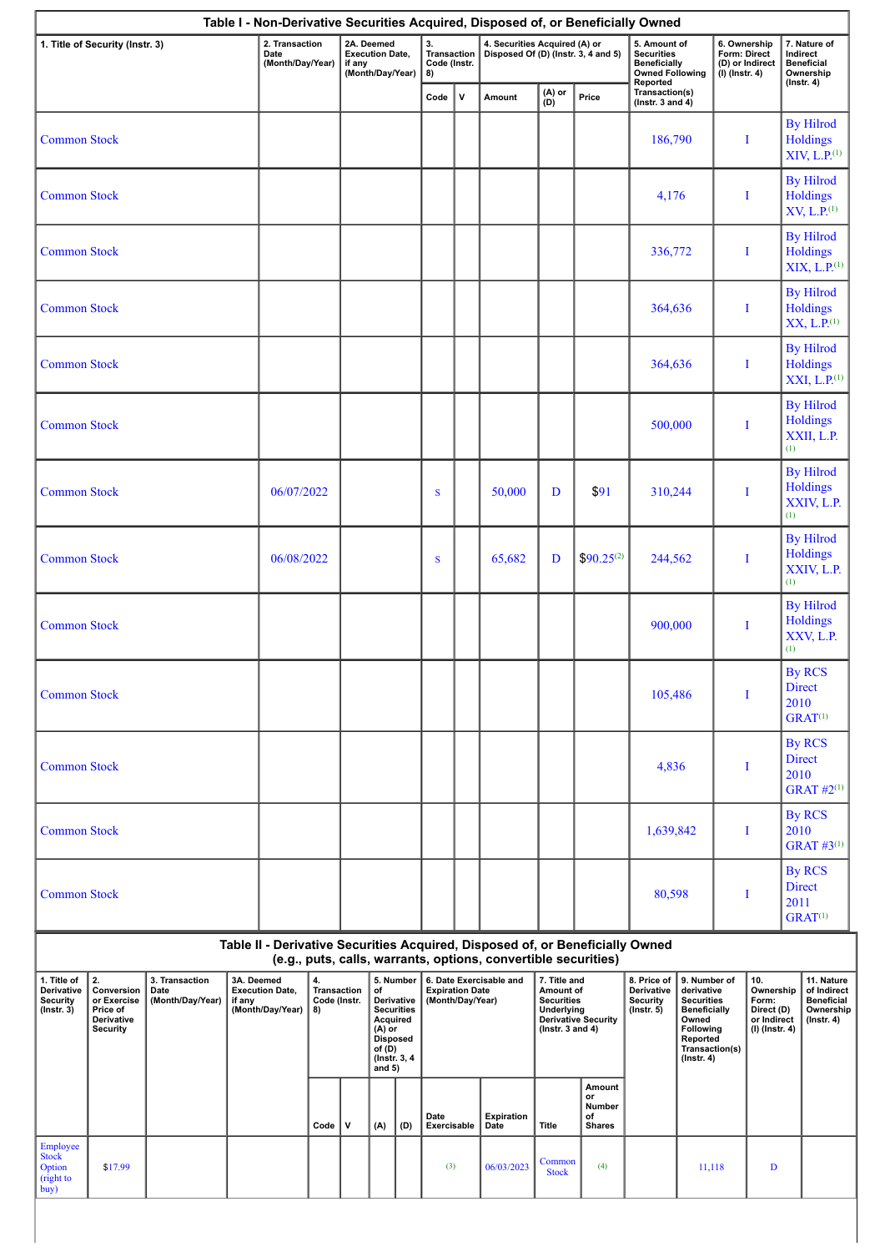|                                                           | 1. Title of Security (Instr. 3)                                              |                                            |                      | 2. Transaction<br>Date<br>(Month/Day/Year) |                                                | if any | 2A. Deemed<br><b>Execution Date,</b><br>(Month/Day/Year)                                                                           |     | 3.<br>Transaction<br>Code (Instr.<br>8)    |              | 4. Securities Acquired (A) or<br>Disposed Of (D) (Instr. 3, 4 and 5)                                                                            |                                                                                             |                                               | 5. Amount of<br><b>Securities</b><br><b>Beneficially</b><br><b>Owned Following</b><br>Reported |                                                                                                                                                | 6. Ownership<br>Form: Direct<br>(D) or Indirect<br>$(I)$ (Instr. 4) |                                                                     | 7. Nature of<br>Indirect<br><b>Beneficial</b><br>Ownership<br>$($ Instr. 4 $)$  |
|-----------------------------------------------------------|------------------------------------------------------------------------------|--------------------------------------------|----------------------|--------------------------------------------|------------------------------------------------|--------|------------------------------------------------------------------------------------------------------------------------------------|-----|--------------------------------------------|--------------|-------------------------------------------------------------------------------------------------------------------------------------------------|---------------------------------------------------------------------------------------------|-----------------------------------------------|------------------------------------------------------------------------------------------------|------------------------------------------------------------------------------------------------------------------------------------------------|---------------------------------------------------------------------|---------------------------------------------------------------------|---------------------------------------------------------------------------------|
|                                                           |                                                                              |                                            |                      |                                            |                                                |        |                                                                                                                                    |     | Code                                       | $\mathsf{v}$ | Amount                                                                                                                                          | (A) or<br>(D)                                                                               | Price                                         | Transaction(s)<br>( $lnstr. 3 and 4$ )                                                         |                                                                                                                                                |                                                                     |                                                                     |                                                                                 |
| <b>Common Stock</b>                                       |                                                                              |                                            |                      |                                            |                                                |        |                                                                                                                                    |     |                                            |              |                                                                                                                                                 |                                                                                             |                                               | 186,790                                                                                        |                                                                                                                                                | I                                                                   |                                                                     | <b>By Hilrod</b><br>Holdings<br>XIV, L.P. <sup>(1)</sup>                        |
| <b>Common Stock</b>                                       |                                                                              |                                            |                      |                                            |                                                |        |                                                                                                                                    |     |                                            |              |                                                                                                                                                 |                                                                                             |                                               | 4,176                                                                                          |                                                                                                                                                | Ι                                                                   |                                                                     | <b>By Hilrod</b><br>Holdings<br>XV, L.P. <sup>(1)</sup>                         |
| <b>Common Stock</b>                                       |                                                                              |                                            |                      |                                            |                                                |        |                                                                                                                                    |     |                                            |              |                                                                                                                                                 |                                                                                             |                                               | 336,772                                                                                        |                                                                                                                                                | I                                                                   |                                                                     | <b>By Hilrod</b><br><b>Holdings</b><br>XIX, L.P. <sup>(1)</sup>                 |
| <b>Common Stock</b>                                       |                                                                              |                                            |                      |                                            |                                                |        |                                                                                                                                    |     |                                            |              |                                                                                                                                                 |                                                                                             |                                               | 364,636                                                                                        |                                                                                                                                                | I                                                                   |                                                                     | <b>By Hilrod</b><br><b>Holdings</b><br>XX, L.P. <sup>(1)</sup>                  |
| <b>Common Stock</b>                                       |                                                                              |                                            |                      |                                            |                                                |        |                                                                                                                                    |     |                                            |              |                                                                                                                                                 |                                                                                             |                                               | 364,636                                                                                        |                                                                                                                                                | I                                                                   |                                                                     | <b>By Hilrod</b><br><b>Holdings</b><br>XXI, L.P. <sup>(1)</sup>                 |
| <b>Common Stock</b>                                       |                                                                              |                                            |                      |                                            |                                                |        |                                                                                                                                    |     |                                            |              |                                                                                                                                                 |                                                                                             |                                               | 500,000                                                                                        |                                                                                                                                                | I                                                                   | (1)                                                                 | <b>By Hilrod</b><br><b>Holdings</b><br>XXII, L.P.                               |
| <b>Common Stock</b>                                       |                                                                              |                                            |                      | 06/07/2022                                 |                                                |        |                                                                                                                                    |     | S                                          |              | 50,000                                                                                                                                          | D                                                                                           | \$91                                          | 310,244                                                                                        |                                                                                                                                                | I                                                                   | (1)                                                                 | <b>By Hilrod</b><br><b>Holdings</b><br>XXIV, L.P.                               |
| <b>Common Stock</b>                                       |                                                                              |                                            | 06/08/2022           |                                            |                                                |        |                                                                                                                                    | S   |                                            | 65,682       | D                                                                                                                                               | $$90.25^{(2)}$                                                                              | 244,562                                       |                                                                                                | I                                                                                                                                              | (1)                                                                 | <b>By Hilrod</b><br><b>Holdings</b><br>XXIV, L.P.                   |                                                                                 |
| <b>Common Stock</b>                                       |                                                                              |                                            |                      |                                            |                                                |        |                                                                                                                                    |     |                                            |              |                                                                                                                                                 |                                                                                             |                                               | 900,000                                                                                        |                                                                                                                                                | I                                                                   | (1)                                                                 | <b>By Hilrod</b><br><b>Holdings</b><br>XXV, L.P.                                |
|                                                           | <b>Common Stock</b>                                                          |                                            |                      |                                            |                                                |        |                                                                                                                                    |     |                                            |              |                                                                                                                                                 |                                                                                             | 105,486                                       |                                                                                                | I                                                                                                                                              |                                                                     | <b>By RCS</b><br>Direct<br>2010<br>$GRAT^{(1)}$                     |                                                                                 |
| <b>Common Stock</b>                                       |                                                                              |                                            |                      |                                            |                                                |        |                                                                                                                                    |     |                                            |              |                                                                                                                                                 |                                                                                             |                                               | 4,836                                                                                          |                                                                                                                                                | I                                                                   |                                                                     | <b>By RCS</b><br><b>Direct</b><br>2010<br><b>GRAT #2(1)</b>                     |
| <b>Common Stock</b>                                       |                                                                              |                                            |                      |                                            |                                                |        |                                                                                                                                    |     |                                            |              |                                                                                                                                                 |                                                                                             |                                               | 1,639,842                                                                                      |                                                                                                                                                | I                                                                   |                                                                     | <b>By RCS</b><br>2010<br><b>GRAT #3(1)</b>                                      |
| <b>Common Stock</b>                                       |                                                                              |                                            |                      |                                            |                                                |        |                                                                                                                                    |     |                                            |              |                                                                                                                                                 |                                                                                             |                                               | 80,598                                                                                         |                                                                                                                                                | I                                                                   |                                                                     | <b>By RCS</b><br><b>Direct</b><br>2011<br>$GRAT^{(1)}$                          |
|                                                           |                                                                              |                                            |                      |                                            |                                                |        |                                                                                                                                    |     |                                            |              | Table II - Derivative Securities Acquired, Disposed of, or Beneficially Owned<br>(e.g., puts, calls, warrants, options, convertible securities) |                                                                                             |                                               |                                                                                                |                                                                                                                                                |                                                                     |                                                                     |                                                                                 |
| 1. Title of<br>Derivative<br>Security<br>$($ Instr. 3 $)$ | 2.<br>Conversion<br>or Exercise<br>Price of<br>Derivative<br><b>Security</b> | 3. Transaction<br>Date<br>(Month/Day/Year) | 3A. Deemed<br>if any | <b>Execution Date,</b><br>(Month/Day/Year) | 4.<br><b>Transaction</b><br>Code (Instr.<br>8) |        | 5. Number<br>of<br>Derivative<br><b>Securities</b><br>Acquired<br>(A) or<br><b>Disposed</b><br>of (D)<br>(Instr. 3, 4)<br>and $5)$ |     | <b>Expiration Date</b><br>(Month/Day/Year) |              | 6. Date Exercisable and                                                                                                                         | 7. Title and<br>Amount of<br><b>Securities</b><br><b>Underlying</b><br>( $lnstr. 3 and 4$ ) | Derivative Security                           | 8. Price of<br>Derivative<br>Security<br>$($ Instr. 5 $)$                                      | 9. Number of<br>derivative<br><b>Securities</b><br><b>Beneficially</b><br>Owned<br>Following<br>Reported<br>Transaction(s)<br>$($ Instr. 4 $)$ | 10.                                                                 | Ownership<br>Form:<br>Direct (D)<br>or Indirect<br>$(I)$ (Instr. 4) | 11. Nature<br>of Indirect<br><b>Beneficial</b><br>Ownership<br>$($ Instr. 4 $)$ |
|                                                           |                                                                              |                                            |                      |                                            | Code                                           | v      | (A)                                                                                                                                | (D) | Date<br>Exercisable                        |              | Expiration<br>Date                                                                                                                              | <b>Title</b>                                                                                | Amount<br>or<br>Number<br>of<br><b>Shares</b> |                                                                                                |                                                                                                                                                |                                                                     |                                                                     |                                                                                 |
| Employee<br><b>Stock</b><br>Option<br>(right to<br>buy)   | \$17.99                                                                      |                                            |                      |                                            |                                                |        |                                                                                                                                    |     | (3)                                        |              | 06/03/2023                                                                                                                                      | Common<br><b>Stock</b>                                                                      | (4)                                           |                                                                                                | 11,118                                                                                                                                         |                                                                     | D                                                                   |                                                                                 |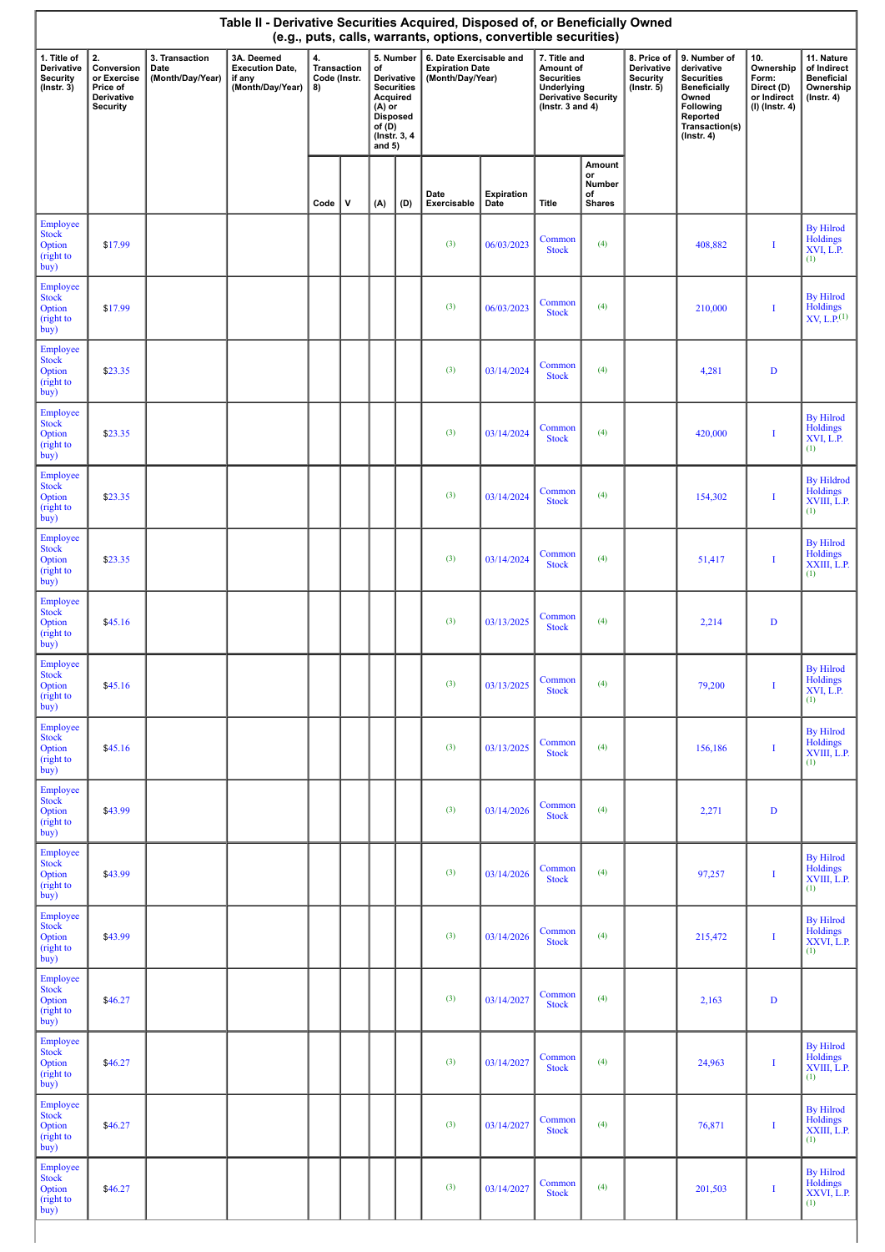|                                                                  | Table II - Derivative Securities Acquired, Disposed of, or Beneficially Owned<br>(e.g., puts, calls, warrants, options, convertible securities) |                                            |                                                                    |                                         |   |                                                                       |                                                               |                                                                       |                    |                                                                                                                    |                                               |                                                                  |                                                                                                                                                |                                                                            |                                                                                 |
|------------------------------------------------------------------|-------------------------------------------------------------------------------------------------------------------------------------------------|--------------------------------------------|--------------------------------------------------------------------|-----------------------------------------|---|-----------------------------------------------------------------------|---------------------------------------------------------------|-----------------------------------------------------------------------|--------------------|--------------------------------------------------------------------------------------------------------------------|-----------------------------------------------|------------------------------------------------------------------|------------------------------------------------------------------------------------------------------------------------------------------------|----------------------------------------------------------------------------|---------------------------------------------------------------------------------|
| 1. Title of<br><b>Derivative</b><br>Security<br>$($ Instr. 3 $)$ | 2.<br>Conversion<br>or Exercise<br>Price of<br>Derivative<br><b>Security</b>                                                                    | 3. Transaction<br>Date<br>(Month/Day/Year) | 3A. Deemed<br><b>Execution Date,</b><br>if any<br>(Month/Day/Year) | 4.<br>Transaction<br>Code (Instr.<br>8) |   | of<br>Acquired<br>$(A)$ or<br><b>Disposed</b><br>of $(D)$<br>and $5)$ | 5. Number<br>Derivative<br><b>Securities</b><br>(Instr. 3, 4) | 6. Date Exercisable and<br><b>Expiration Date</b><br>(Month/Day/Year) |                    | 7. Title and<br>Amount of<br><b>Securities</b><br>Underlying<br><b>Derivative Security</b><br>( $lnstr. 3 and 4$ ) |                                               | 8. Price of<br>Derivative<br><b>Security</b><br>$($ lnstr. 5 $)$ | 9. Number of<br>derivative<br><b>Securities</b><br><b>Beneficially</b><br>Owned<br>Following<br>Reported<br>Transaction(s)<br>$($ Instr. 4 $)$ | 10.<br>Ownership<br>Form:<br>Direct (D)<br>or Indirect<br>$(I)$ (Instr. 4) | 11. Nature<br>of Indirect<br><b>Beneficial</b><br>Ownership<br>$($ lnstr. 4 $)$ |
|                                                                  |                                                                                                                                                 |                                            |                                                                    | Code                                    | V | (A)                                                                   | (D)                                                           | Date<br>Exercisable                                                   | Expiration<br>Date | Title                                                                                                              | Amount<br>or<br>Number<br>of<br><b>Shares</b> |                                                                  |                                                                                                                                                |                                                                            |                                                                                 |
| Employee<br>Stock<br>Option<br>(right to<br>buy)                 | \$17.99                                                                                                                                         |                                            |                                                                    |                                         |   |                                                                       |                                                               | (3)                                                                   | 06/03/2023         | Common<br><b>Stock</b>                                                                                             | (4)                                           |                                                                  | 408,882                                                                                                                                        | I                                                                          | <b>By Hilrod</b><br>Holdings<br>XVI, L.P.<br>(1)                                |
| Employee<br><b>Stock</b><br>Option<br>(right to<br>buy)          | \$17.99                                                                                                                                         |                                            |                                                                    |                                         |   |                                                                       |                                                               | (3)                                                                   | 06/03/2023         | Common<br><b>Stock</b>                                                                                             | (4)                                           |                                                                  | 210,000                                                                                                                                        | I                                                                          | <b>By Hilrod</b><br>$Holdings$<br>XV, L.P. <sup>(1)</sup>                       |
| Employee<br>Stock<br>Option<br>(right to<br>buy)                 | \$23.35                                                                                                                                         |                                            |                                                                    |                                         |   |                                                                       |                                                               | (3)                                                                   | 03/14/2024         | Common<br><b>Stock</b>                                                                                             | (4)                                           |                                                                  | 4,281                                                                                                                                          | $\mathbf D$                                                                |                                                                                 |
| Employee<br><b>Stock</b><br>Option<br>(right to<br>buy)          | \$23.35                                                                                                                                         |                                            |                                                                    |                                         |   |                                                                       |                                                               | (3)                                                                   | 03/14/2024         | Common<br><b>Stock</b>                                                                                             | (4)                                           |                                                                  | 420,000                                                                                                                                        | I                                                                          | <b>By Hilrod</b><br>Holdings<br>XVI, L.P.<br>(1)                                |
| Employee<br><b>Stock</b><br>Option<br>(right to<br>buy)          | \$23.35                                                                                                                                         |                                            |                                                                    |                                         |   |                                                                       |                                                               | (3)                                                                   | 03/14/2024         | Common<br><b>Stock</b>                                                                                             | (4)                                           |                                                                  | 154,302                                                                                                                                        | I                                                                          | <b>By Hildrod</b><br>Holdings<br>XVIII, L.P.<br>(1)                             |
| Employee<br><b>Stock</b><br>Option<br>(right to<br>buy)          | \$23.35                                                                                                                                         |                                            |                                                                    |                                         |   |                                                                       |                                                               | (3)                                                                   | 03/14/2024         | Common<br><b>Stock</b>                                                                                             | (4)                                           |                                                                  | 51,417                                                                                                                                         | I                                                                          | <b>By Hilrod</b><br>Holdings<br>XXIII, L.P.<br>(1)                              |
| Employee<br><b>Stock</b><br>Option<br>(right to<br>buy)          | \$45.16                                                                                                                                         |                                            |                                                                    |                                         |   |                                                                       |                                                               | (3)                                                                   | 03/13/2025         | Common<br><b>Stock</b>                                                                                             | (4)                                           |                                                                  | 2,214                                                                                                                                          | $\mathbf D$                                                                |                                                                                 |
| Employee<br><b>Stock</b><br>Option<br>(right to<br>buy)          | \$45.16                                                                                                                                         |                                            |                                                                    |                                         |   |                                                                       |                                                               | (3)                                                                   | 03/13/2025         | Common<br><b>Stock</b>                                                                                             | (4)                                           |                                                                  | 79,200                                                                                                                                         |                                                                            | <b>By Hilrod</b><br>Holdings<br>XVI, L.P.<br>(1)                                |
| Employee<br><b>Stock</b><br>Option<br>(right to<br>buy)          | \$45.16                                                                                                                                         |                                            |                                                                    |                                         |   |                                                                       |                                                               | (3)                                                                   | 03/13/2025         | Common<br><b>Stock</b>                                                                                             | (4)                                           |                                                                  | 156,186                                                                                                                                        | I                                                                          | <b>By Hilrod</b><br>Holdings<br>XVIII, L.P.<br>(1)                              |
| Employee<br><b>Stock</b><br>Option<br>(right to<br>buy)          | \$43.99                                                                                                                                         |                                            |                                                                    |                                         |   |                                                                       |                                                               | (3)                                                                   | 03/14/2026         | Common<br><b>Stock</b>                                                                                             | (4)                                           |                                                                  | 2,271                                                                                                                                          | D                                                                          |                                                                                 |
| Employee<br><b>Stock</b><br>Option<br>(right to<br>buy)          | \$43.99                                                                                                                                         |                                            |                                                                    |                                         |   |                                                                       |                                                               | (3)                                                                   | 03/14/2026         | Common<br><b>Stock</b>                                                                                             | (4)                                           |                                                                  | 97,257                                                                                                                                         | I                                                                          | <b>By Hilrod</b><br>Holdings<br>XVIII, L.P.<br>(1)                              |
| Employee<br><b>Stock</b><br>Option<br>(right to<br>buy)          | \$43.99                                                                                                                                         |                                            |                                                                    |                                         |   |                                                                       |                                                               | (3)                                                                   | 03/14/2026         | Common<br><b>Stock</b>                                                                                             | (4)                                           |                                                                  | 215,472                                                                                                                                        | П                                                                          | <b>By Hilrod</b><br>Holdings<br>XXVI, L.P.<br>(1)                               |
| Employee<br><b>Stock</b><br>Option<br>(right to<br>buy)          | \$46.27                                                                                                                                         |                                            |                                                                    |                                         |   |                                                                       |                                                               | (3)                                                                   | 03/14/2027         | Common<br><b>Stock</b>                                                                                             | (4)                                           |                                                                  | 2,163                                                                                                                                          | D                                                                          |                                                                                 |
| Employee<br><b>Stock</b><br>Option<br>(right to<br>buy)          | \$46.27                                                                                                                                         |                                            |                                                                    |                                         |   |                                                                       |                                                               | (3)                                                                   | 03/14/2027         | Common<br><b>Stock</b>                                                                                             | (4)                                           |                                                                  | 24,963                                                                                                                                         | I                                                                          | <b>By Hilrod</b><br>Holdings<br>XVIII, L.P.<br>(1)                              |
| Employee<br><b>Stock</b><br>Option<br>(right to<br>buy)          | \$46.27                                                                                                                                         |                                            |                                                                    |                                         |   |                                                                       |                                                               | (3)                                                                   | 03/14/2027         | Common<br><b>Stock</b>                                                                                             | (4)                                           |                                                                  | 76,871                                                                                                                                         | П                                                                          | <b>By Hilrod</b><br>Holdings<br>XXIII, L.P.<br>(1)                              |
| Employee<br><b>Stock</b><br>Option<br>(right to<br>buy)          | \$46.27                                                                                                                                         |                                            |                                                                    |                                         |   |                                                                       |                                                               | (3)                                                                   | 03/14/2027         | Common<br><b>Stock</b>                                                                                             | (4)                                           |                                                                  | 201,503                                                                                                                                        | I                                                                          | <b>By Hilrod</b><br>Holdings<br>XXVI, L.P.<br>(1)                               |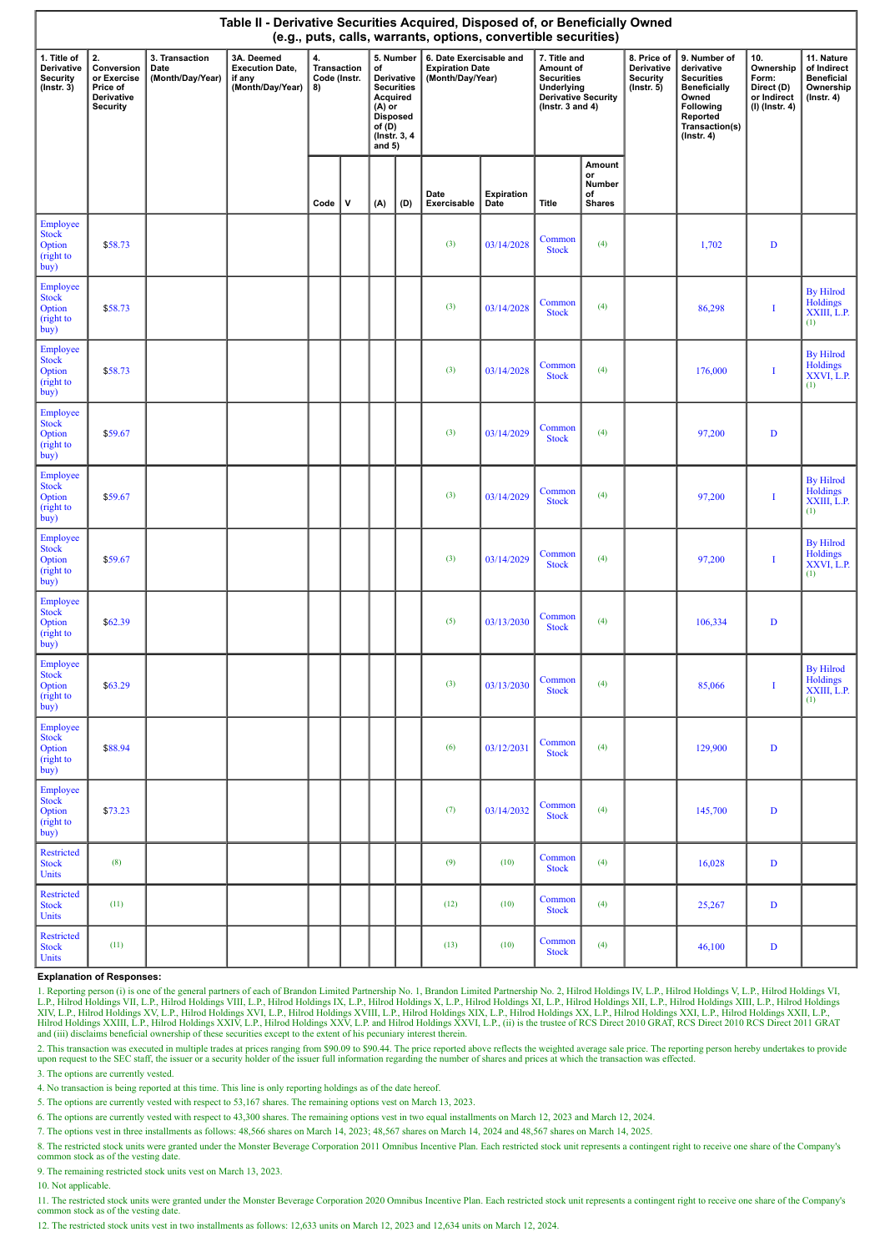|                                                           | Table II - Derivative Securities Acquired, Disposed of, or Beneficially Owned<br>(e.g., puts, calls, warrants, options, convertible securities) |                                            |                                                                    |                                                                                                                                                                                 |   |     |                                                                       |                     |                                                                                                                     |                        |                                                                  |                                                                                                                                                |                                                                          |                                                                                 |                                                           |
|-----------------------------------------------------------|-------------------------------------------------------------------------------------------------------------------------------------------------|--------------------------------------------|--------------------------------------------------------------------|---------------------------------------------------------------------------------------------------------------------------------------------------------------------------------|---|-----|-----------------------------------------------------------------------|---------------------|---------------------------------------------------------------------------------------------------------------------|------------------------|------------------------------------------------------------------|------------------------------------------------------------------------------------------------------------------------------------------------|--------------------------------------------------------------------------|---------------------------------------------------------------------------------|-----------------------------------------------------------|
| 1. Title of<br>Derivative<br>Security<br>$($ Instr. 3 $)$ | 2.<br>Conversion<br>or Exercise<br>Price of<br>Derivative<br>Security                                                                           | 3. Transaction<br>Date<br>(Month/Day/Year) | 3A. Deemed<br><b>Execution Date,</b><br>if any<br>(Month/Day/Year) | $\ddot{a}$<br>5. Number<br>Transaction<br>of<br>Code (Instr.<br>Derivative<br><b>Securities</b><br>8)<br>Acquired<br>$(A)$ or<br>Disposed<br>of(D)<br>(Instr. 3, 4)<br>and $5)$ |   |     | 6. Date Exercisable and<br><b>Expiration Date</b><br>(Month/Day/Year) |                     | 7. Title and<br>Amount of<br><b>Securities</b><br><b>Underlying<br/>Derivative Security</b><br>( $lnstr. 3 and 4$ ) |                        | 8. Price of<br>Derivative<br><b>Security</b><br>$($ Instr. 5 $)$ | 9. Number of<br>derivative<br><b>Securities</b><br><b>Beneficially</b><br>Owned<br>Following<br>Reported<br>Transaction(s)<br>$($ Instr. 4 $)$ | 10.<br>Ownership<br>Form:<br>Direct (D)<br>or Indirect<br>(I) (Instr. 4) | 11. Nature<br>of Indirect<br><b>Beneficial</b><br>Ownership<br>$($ Instr. 4 $)$ |                                                           |
|                                                           |                                                                                                                                                 |                                            |                                                                    | Code                                                                                                                                                                            | v | (A) | (D)                                                                   | Date<br>Exercisable | Expiration<br>Date                                                                                                  | Title                  | Amount<br>or<br>Number<br>of<br><b>Shares</b>                    |                                                                                                                                                |                                                                          |                                                                                 |                                                           |
| Employee<br>Stock<br>Option<br>(right to<br>buy)          | \$58.73                                                                                                                                         |                                            |                                                                    |                                                                                                                                                                                 |   |     |                                                                       | (3)                 | 03/14/2028                                                                                                          | Common<br><b>Stock</b> | (4)                                                              |                                                                                                                                                | 1,702                                                                    | $\mathbf D$                                                                     |                                                           |
| Employee<br><b>Stock</b><br>Option<br>(right to<br>buy)   | \$58.73                                                                                                                                         |                                            |                                                                    |                                                                                                                                                                                 |   |     |                                                                       | (3)                 | 03/14/2028                                                                                                          | Common<br><b>Stock</b> | (4)                                                              |                                                                                                                                                | 86,298                                                                   | I                                                                               | <b>By Hilrod</b><br>Holdings<br>XXIII, L.P.<br>(1)        |
| Employee<br>Stock<br>Option<br>(right to<br>buy)          | \$58.73                                                                                                                                         |                                            |                                                                    |                                                                                                                                                                                 |   |     |                                                                       | (3)                 | 03/14/2028                                                                                                          | Common<br><b>Stock</b> | (4)                                                              |                                                                                                                                                | 176,000                                                                  | I                                                                               | <b>By Hilrod</b><br>Holdings<br>XXVI, L.P.<br>(1)         |
| Employee<br><b>Stock</b><br>Option<br>(right to<br>buy)   | \$59.67                                                                                                                                         |                                            |                                                                    |                                                                                                                                                                                 |   |     |                                                                       | (3)                 | 03/14/2029                                                                                                          | Common<br><b>Stock</b> | (4)                                                              |                                                                                                                                                | 97,200                                                                   | $\mathbf D$                                                                     |                                                           |
| Employee<br><b>Stock</b><br>Option<br>(right to<br>buy)   | \$59.67                                                                                                                                         |                                            |                                                                    |                                                                                                                                                                                 |   |     |                                                                       | (3)                 | 03/14/2029                                                                                                          | Common<br><b>Stock</b> | (4)                                                              |                                                                                                                                                | 97,200                                                                   | I                                                                               | <b>By Hilrod</b><br>Holdings<br>XXIII, L.P.<br>(1)        |
| Employee<br><b>Stock</b><br>Option<br>(right to<br>buy)   | \$59.67                                                                                                                                         |                                            |                                                                    |                                                                                                                                                                                 |   |     |                                                                       | (3)                 | 03/14/2029                                                                                                          | Common<br><b>Stock</b> | (4)                                                              |                                                                                                                                                | 97,200                                                                   | I                                                                               | <b>By Hilrod</b><br>Holdings<br>XXVI, L.P.<br>(1)         |
| Employee<br><b>Stock</b><br>Option<br>(right to<br>buy)   | \$62.39                                                                                                                                         |                                            |                                                                    |                                                                                                                                                                                 |   |     |                                                                       | (5)                 | 03/13/2030                                                                                                          | Common<br><b>Stock</b> | (4)                                                              |                                                                                                                                                | 106,334                                                                  | $\mathbf D$                                                                     |                                                           |
| Employee<br><b>Stock</b><br>Option<br>(right to<br>buy)   | \$63.29                                                                                                                                         |                                            |                                                                    |                                                                                                                                                                                 |   |     |                                                                       | $\left(3\right)$    | 03/13/2030                                                                                                          | Common<br><b>Stock</b> | (4)                                                              |                                                                                                                                                | 85,066                                                                   | $\mathbf I$                                                                     | <b>By Hilrod</b><br><b>Holdings</b><br>XXIII, L.P.<br>(1) |
| Employee<br><b>Stock</b><br>Option<br>(right to<br>buy)   | \$88.94                                                                                                                                         |                                            |                                                                    |                                                                                                                                                                                 |   |     |                                                                       | (6)                 | 03/12/2031                                                                                                          | Common<br><b>Stock</b> | (4)                                                              |                                                                                                                                                | 129,900                                                                  | D                                                                               |                                                           |
| Employee<br><b>Stock</b><br>Option<br>(right to<br>buy)   | \$73.23                                                                                                                                         |                                            |                                                                    |                                                                                                                                                                                 |   |     |                                                                       | (7)                 | 03/14/2032                                                                                                          | Common<br><b>Stock</b> | (4)                                                              |                                                                                                                                                | 145,700                                                                  | D                                                                               |                                                           |
| <b>Restricted</b><br><b>Stock</b><br>Units                | (8)                                                                                                                                             |                                            |                                                                    |                                                                                                                                                                                 |   |     |                                                                       | (9)                 | (10)                                                                                                                | Common<br><b>Stock</b> | (4)                                                              |                                                                                                                                                | 16,028                                                                   | $\mathbf{D}$                                                                    |                                                           |
| <b>Restricted</b><br><b>Stock</b><br>Units                | (11)                                                                                                                                            |                                            |                                                                    |                                                                                                                                                                                 |   |     |                                                                       | (12)                | (10)                                                                                                                | Common<br><b>Stock</b> | (4)                                                              |                                                                                                                                                | 25,267                                                                   | $\mathbf D$                                                                     |                                                           |
| <b>Restricted</b><br><b>Stock</b><br>Units                | (11)                                                                                                                                            |                                            |                                                                    |                                                                                                                                                                                 |   |     |                                                                       | (13)                | (10)                                                                                                                | Common<br><b>Stock</b> | (4)                                                              |                                                                                                                                                | 46,100                                                                   | D                                                                               |                                                           |

### **Explanation of Responses:**

1. Reporting person (i) is one of the general partners of each of Brandon Limited Partnership No. 1, Brandon Limited Partnership No. 2, Hilrod Holdings IV, L.P., Hilrod Holdings VI, L.P., Hilrod Holdings VI, L.P., Hilrod H

2. This transaction was executed in multiple trades at prices ranging from \$90.09 to \$90.44. The price reported above reflects the weighted average sale price. The reporting person hereby undertakes to provide upon request to the SEC staff, the issuer or a security holder of the issuer full information regarding the number of shares and prices at which the transaction was effected.

3. The options are currently vested.

4. No transaction is being reported at this time. This line is only reporting holdings as of the date hereof.

5. The options are currently vested with respect to 53,167 shares. The remaining options vest on March 13, 2023.

6. The options are currently vested with respect to 43,300 shares. The remaining options vest in two equal installments on March 12, 2023 and March 12, 2024.

7. The options vest in three installments as follows: 48,566 shares on March 14, 2023; 48,567 shares on March 14, 2024 and 48,567 shares on March 14, 2025.

8. The restricted stock units were granted under the Monster Beverage Corporation 2011 Omnibus Incentive Plan. Each restricted stock unit represents a contingent right to receive one share of the Company's common stock as of the vesting date.

9. The remaining restricted stock units vest on March 13, 2023.

10. Not applicable.

11. The restricted stock units were granted under the Monster Beverage Corporation 2020 Omnibus Incentive Plan. Each restricted stock unit represents a contingent right to receive one share of the Company's common stock as of the vesting date.

12. The restricted stock units vest in two installments as follows: 12,633 units on March 12, 2023 and 12,634 units on March 12, 2024.